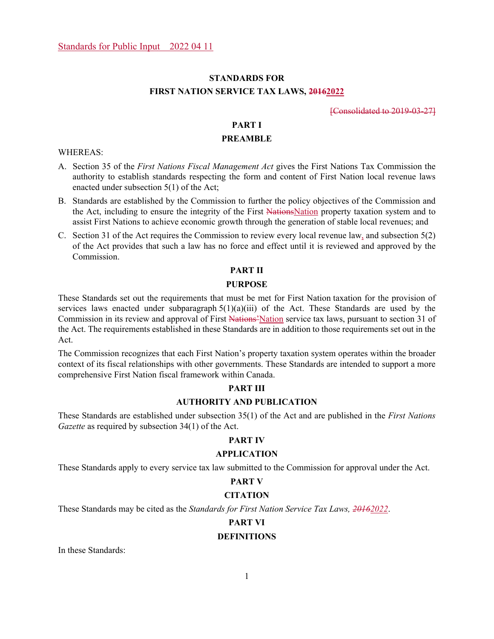# **STANDARDS FOR FIRST NATION SERVICE TAX LAWS, 20162022**

[Consolidated to 2019-03-27]

# **PART I**

## **PREAMBLE**

WHEREAS:

- A. Section 35 of the *First Nations Fiscal Management Act* gives the First Nations Tax Commission the authority to establish standards respecting the form and content of First Nation local revenue laws enacted under subsection 5(1) of the Act;
- B. Standards are established by the Commission to further the policy objectives of the Commission and the Act, including to ensure the integrity of the First NationsNation property taxation system and to assist First Nations to achieve economic growth through the generation of stable local revenues; and
- C. Section 31 of the Act requires the Commission to review every local revenue law, and subsection 5(2) of the Act provides that such a law has no force and effect until it is reviewed and approved by the Commission.

# **PART II**

#### **PURPOSE**

These Standards set out the requirements that must be met for First Nation taxation for the provision of services laws enacted under subparagraph  $5(1)(a)(iii)$  of the Act. These Standards are used by the Commission in its review and approval of First Nations'Nation service tax laws, pursuant to section 31 of the Act. The requirements established in these Standards are in addition to those requirements set out in the Act.

The Commission recognizes that each First Nation's property taxation system operates within the broader context of its fiscal relationships with other governments. These Standards are intended to support a more comprehensive First Nation fiscal framework within Canada.

# **PART III**

# **AUTHORITY AND PUBLICATION**

These Standards are established under subsection 35(1) of the Act and are published in the *First Nations Gazette* as required by subsection 34(1) of the Act.

# **PART IV**

# **APPLICATION**

These Standards apply to every service tax law submitted to the Commission for approval under the Act.

# **PART V**

# **CITATION**

These Standards may be cited as the *Standards for First Nation Service Tax Laws, 20162022*.

# **PART VI**

# **DEFINITIONS**

In these Standards: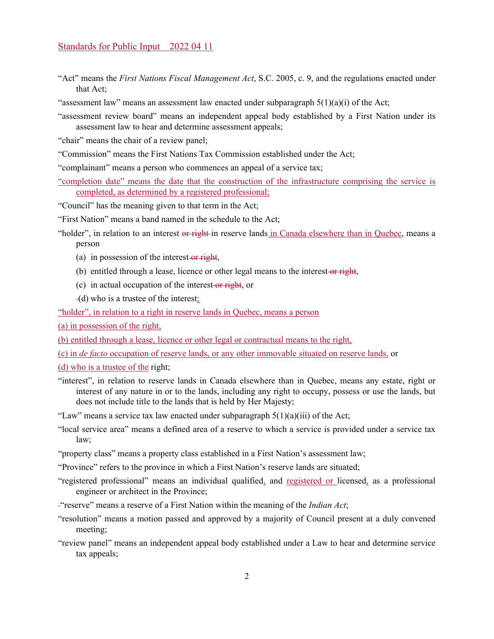- "Act" means the *First Nations Fiscal Management Act*, S.C. 2005, c. 9, and the regulations enacted under that Act;
- "assessment law" means an assessment law enacted under subparagraph  $5(1)(a)(i)$  of the Act;
- "assessment review board" means an independent appeal body established by a First Nation under its assessment law to hear and determine assessment appeals;
- "chair" means the chair of a review panel;
- "Commission" means the First Nations Tax Commission established under the Act;
- "complainant" means a person who commences an appeal of a service tax;
- "completion date" means the date that the construction of the infrastructure comprising the service is completed, as determined by a registered professional;
- "Council" has the meaning given to that term in the Act;
- "First Nation" means a band named in the schedule to the Act;
- "holder", in relation to an interest or right-in reserve lands in Canada elsewhere than in Quebec, means a person
	- (a) in possession of the interest-or right,
	- (b) entitled through a lease, licence or other legal means to the interest-or right,
	- (c) in actual occupation of the interest-or right, or
	- (d) who is a trustee of the interest;

"holder", in relation to a right in reserve lands in Quebec, means a person

(a) in possession of the right,

(b) entitled through a lease, licence or other legal or contractual means to the right,

(c) in *de facto* occupation of reserve lands, or any other immovable situated on reserve lands, or

(d) who is a trustee of the right;

- "interest", in relation to reserve lands in Canada elsewhere than in Quebec, means any estate, right or interest of any nature in or to the lands, including any right to occupy, possess or use the lands, but does not include title to the lands that is held by Her Majesty;
- "Law" means a service tax law enacted under subparagraph  $5(1)(a)(iii)$  of the Act;
- "local service area" means a defined area of a reserve to which a service is provided under a service tax law;
- "property class" means a property class established in a First Nation's assessment law;
- "Province" refers to the province in which a First Nation's reserve lands are situated;
- "registered professional" means an individual qualified, and registered or licensed, as a professional engineer or architect in the Province;
- "reserve" means a reserve of a First Nation within the meaning of the *Indian Act*;
- "resolution" means a motion passed and approved by a majority of Council present at a duly convened meeting;
- "review panel" means an independent appeal body established under a Law to hear and determine service tax appeals;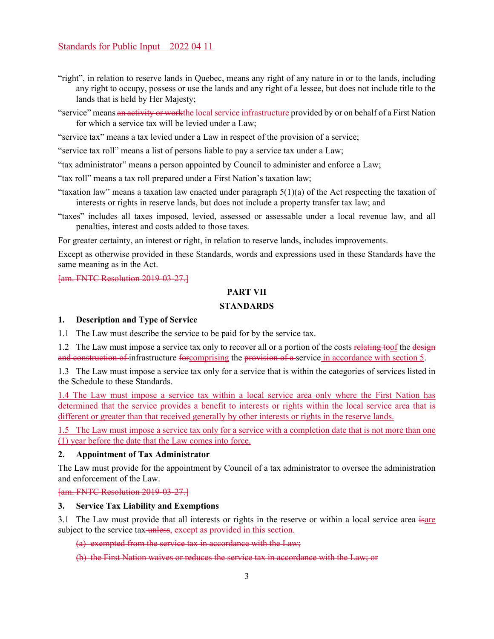- "right", in relation to reserve lands in Quebec, means any right of any nature in or to the lands, including any right to occupy, possess or use the lands and any right of a lessee, but does not include title to the lands that is held by Her Majesty;
- "service" means an activity or work the local service infrastructure provided by or on behalf of a First Nation for which a service tax will be levied under a Law;

"service tax" means a tax levied under a Law in respect of the provision of a service;

"service tax roll" means a list of persons liable to pay a service tax under a Law;

"tax administrator" means a person appointed by Council to administer and enforce a Law;

"tax roll" means a tax roll prepared under a First Nation's taxation law;

- "taxation law" means a taxation law enacted under paragraph  $5(1)(a)$  of the Act respecting the taxation of interests or rights in reserve lands, but does not include a property transfer tax law; and
- "taxes" includes all taxes imposed, levied, assessed or assessable under a local revenue law, and all penalties, interest and costs added to those taxes.

For greater certainty, an interest or right, in relation to reserve lands, includes improvements.

Except as otherwise provided in these Standards, words and expressions used in these Standards have the same meaning as in the Act.

[am. FNTC Resolution 2019-03-27.]

# **PART VII**

# **STANDARDS**

#### **1. Description and Type of Service**

1.1 The Law must describe the service to be paid for by the service tax.

1.2 The Law must impose a service tax only to recover all or a portion of the costs relating toof the designer and construction of infrastructure for comprising the provision of a service in accordance with section 5.

1.3 The Law must impose a service tax only for a service that is within the categories of services listed in the Schedule to these Standards.

1.4 The Law must impose a service tax within a local service area only where the First Nation has determined that the service provides a benefit to interests or rights within the local service area that is different or greater than that received generally by other interests or rights in the reserve lands.

1.5 The Law must impose a service tax only for a service with a completion date that is not more than one (1) year before the date that the Law comes into force.

# **2. Appointment of Tax Administrator**

The Law must provide for the appointment by Council of a tax administrator to oversee the administration and enforcement of the Law.

[am. FNTC Resolution 2019-03-27.]

#### **3. Service Tax Liability and Exemptions**

3.1 The Law must provide that all interests or rights in the reserve or within a local service area isare subject to the service tax unless, except as provided in this section.

(a) exempted from the service tax in accordance with the Law;

(b) the First Nation waives or reduces the service tax in accordance with the Law; or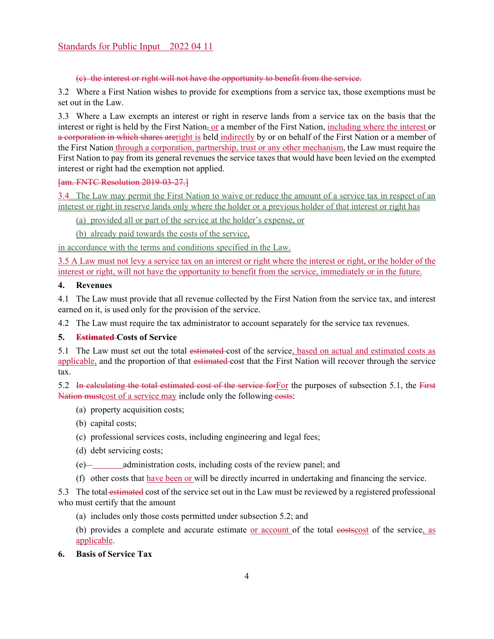# (c) the interest or right will not have the opportunity to benefit from the service.

3.2 Where a First Nation wishes to provide for exemptions from a service tax, those exemptions must be set out in the Law.

3.3 Where a Law exempts an interest or right in reserve lands from a service tax on the basis that the interest or right is held by the First Nation, or a member of the First Nation, including where the interest or a corporation in which shares areright is held indirectly by or on behalf of the First Nation or a member of the First Nation through a corporation, partnership, trust or any other mechanism, the Law must require the First Nation to pay from its general revenues the service taxes that would have been levied on the exempted interest or right had the exemption not applied.

# [am. FNTC Resolution 2019-03-27.]

3.4 The Law may permit the First Nation to waive or reduce the amount of a service tax in respect of an interest or right in reserve lands only where the holder or a previous holder of that interest or right has

(a) provided all or part of the service at the holder's expense, or

(b) already paid towards the costs of the service,

in accordance with the terms and conditions specified in the Law.

3.5 A Law must not levy a service tax on an interest or right where the interest or right, or the holder of the interest or right, will not have the opportunity to benefit from the service, immediately or in the future.

# **4. Revenues**

4.1 The Law must provide that all revenue collected by the First Nation from the service tax, and interest earned on it, is used only for the provision of the service.

4.2 The Law must require the tax administrator to account separately for the service tax revenues.

# **5. Estimated Costs of Service**

5.1 The Law must set out the total estimated cost of the service, based on actual and estimated costs as applicable, and the proportion of that estimated cost that the First Nation will recover through the service tax.

5.2 In calculating the total estimated cost of the service for For the purposes of subsection 5.1, the First Nation mustcost of a service may include only the following costs:

- (a) property acquisition costs;
- (b) capital costs;
- (c) professional services costs, including engineering and legal fees;
- (d) debt servicing costs;
- (e) administration costs, including costs of the review panel; and
- (f) other costs that have been or will be directly incurred in undertaking and financing the service.

5.3 The total estimated cost of the service set out in the Law must be reviewed by a registered professional who must certify that the amount

(a) includes only those costs permitted under subsection 5.2; and

(b) provides a complete and accurate estimate or account of the total essences of the service, as applicable.

**6. Basis of Service Tax**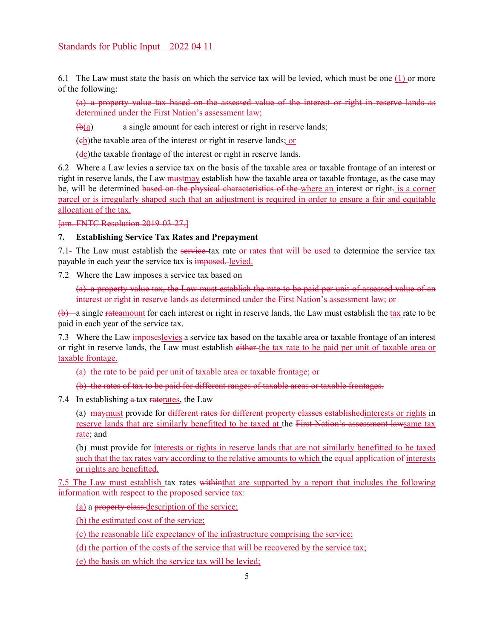6.1 The Law must state the basis on which the service tax will be levied, which must be one (1) or more of the following:

(a) a property value tax based on the assessed value of the interest or right in reserve lands as determined under the First Nation's assessment law;

 $\bigoplus$ (a) a single amount for each interest or right in reserve lands;

 $(e<sub>b</sub>)$  the taxable area of the interest or right in reserve lands; or

(dc) the taxable frontage of the interest or right in reserve lands.

6.2 Where a Law levies a service tax on the basis of the taxable area or taxable frontage of an interest or right in reserve lands, the Law mustmay establish how the taxable area or taxable frontage, as the case may be, will be determined based on the physical characteristics of the where an interest or right- is a corner parcel or is irregularly shaped such that an adjustment is required in order to ensure a fair and equitable allocation of the tax.

[am. FNTC Resolution 2019-03-27.]

# **7. Establishing Service Tax Rates and Prepayment**

7.1- The Law must establish the service-tax rate or rates that will be used to determine the service tax payable in each year the service tax is imposed. levied.

7.2 Where the Law imposes a service tax based on

(a) a property value tax, the Law must establish the rate to be paid per unit of assessed value of an interest or right in reserve lands as determined under the First Nation's assessment law; or

(b) a single rateamount for each interest or right in reserve lands, the Law must establish the tax rate to be paid in each year of the service tax.

7.3 Where the Law imposes levies a service tax based on the taxable area or taxable frontage of an interest or right in reserve lands, the Law must establish either the tax rate to be paid per unit of taxable area or taxable frontage.

(a) the rate to be paid per unit of taxable area or taxable frontage; or

(b) the rates of tax to be paid for different ranges of taxable areas or taxable frontages.

7.4 In establishing a tax raterates, the Law

(a) maymust provide for different rates for different property classes establishedinterests or rights in reserve lands that are similarly benefitted to be taxed at the First Nation's assessment lawsame tax rate; and

(b) must provide for interests or rights in reserve lands that are not similarly benefitted to be taxed such that the tax rates vary according to the relative amounts to which the equal application of interests or rights are benefitted.

7.5 The Law must establish tax rates withinthat are supported by a report that includes the following information with respect to the proposed service tax:

(a) a property class.description of the service;

(b) the estimated cost of the service;

(c) the reasonable life expectancy of the infrastructure comprising the service;

(d) the portion of the costs of the service that will be recovered by the service tax;

(e) the basis on which the service tax will be levied;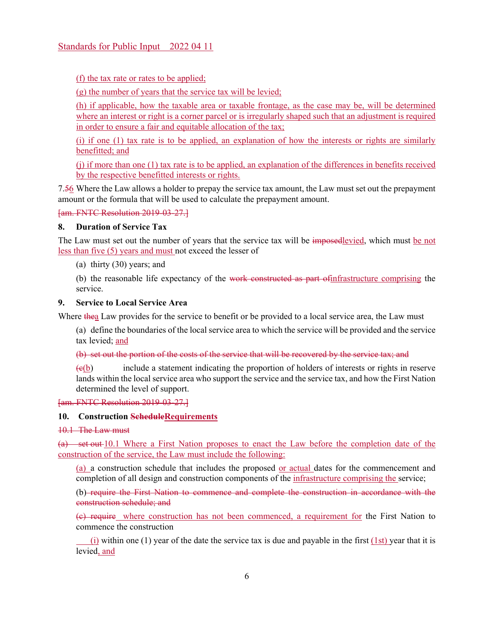(f) the tax rate or rates to be applied;

(g) the number of years that the service tax will be levied;

(h) if applicable, how the taxable area or taxable frontage, as the case may be, will be determined where an interest or right is a corner parcel or is irregularly shaped such that an adjustment is required in order to ensure a fair and equitable allocation of the tax;

(i) if one (1) tax rate is to be applied, an explanation of how the interests or rights are similarly benefitted; and

(j) if more than one (1) tax rate is to be applied, an explanation of the differences in benefits received by the respective benefitted interests or rights.

7.56 Where the Law allows a holder to prepay the service tax amount, the Law must set out the prepayment amount or the formula that will be used to calculate the prepayment amount.

[am. FNTC Resolution 2019-03-27.]

# **8. Duration of Service Tax**

The Law must set out the number of years that the service tax will be imposedlevied, which must be not less than five (5) years and must not exceed the lesser of

(a) thirty (30) years; and

(b) the reasonable life expectancy of the work constructed as part ofinfrastructure comprising the service.

# **9. Service to Local Service Area**

Where thea Law provides for the service to benefit or be provided to a local service area, the Law must

(a) define the boundaries of the local service area to which the service will be provided and the service tax levied; and

(b) set out the portion of the costs of the service that will be recovered by the service tax; and

 $\overline{(e(b))}$  include a statement indicating the proportion of holders of interests or rights in reserve lands within the local service area who support the service and the service tax, and how the First Nation determined the level of support.

[am. FNTC Resolution 2019-03-27.]

# **10. Construction ScheduleRequirements**

10.1 The Law must

(a) set out 10.1 Where a First Nation proposes to enact the Law before the completion date of the construction of the service, the Law must include the following:

(a) a construction schedule that includes the proposed or actual dates for the commencement and completion of all design and construction components of the infrastructure comprising the service;

(b) require the First Nation to commence and complete the construction in accordance with the construction schedule; and

(c) require where construction has not been commenced, a requirement for the First Nation to commence the construction

(i) within one (1) year of the date the service tax is due and payable in the first (1st) year that it is levied, and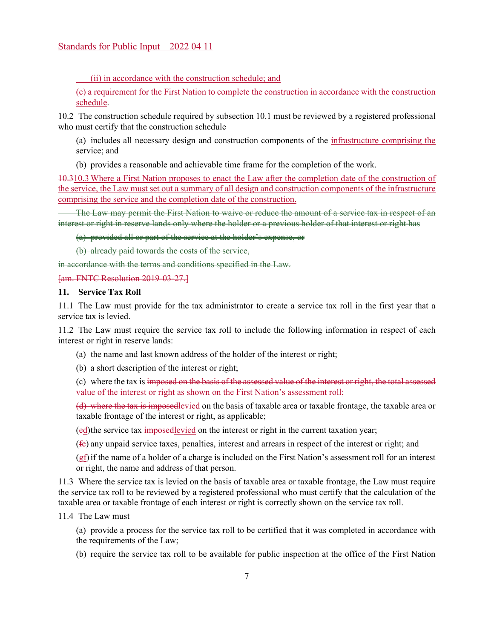(ii) in accordance with the construction schedule; and

(c) a requirement for the First Nation to complete the construction in accordance with the construction schedule.

10.2 The construction schedule required by subsection 10.1 must be reviewed by a registered professional who must certify that the construction schedule

(a) includes all necessary design and construction components of the infrastructure comprising the service; and

(b) provides a reasonable and achievable time frame for the completion of the work.

10.310.3 Where a First Nation proposes to enact the Law after the completion date of the construction of the service, the Law must set out a summary of all design and construction components of the infrastructure comprising the service and the completion date of the construction.

 The Law may permit the First Nation to waive or reduce the amount of a service tax in respect of an interest or right in reserve lands only where the holder or a previous holder of that interest or right has

(a) provided all or part of the service at the holder's expense, or

(b) already paid towards the costs of the service,

in accordance with the terms and conditions specified in the Law.

[am. FNTC Resolution 2019-03-27.]

# **11. Service Tax Roll**

11.1 The Law must provide for the tax administrator to create a service tax roll in the first year that a service tax is levied.

11.2 The Law must require the service tax roll to include the following information in respect of each interest or right in reserve lands:

(a) the name and last known address of the holder of the interest or right;

(b) a short description of the interest or right;

(c) where the tax is imposed on the basis of the assessed value of the interest or right, the total assessed value of the interest or right as shown on the First Nation's assessment roll;

(d) where the tax is imposedlevied on the basis of taxable area or taxable frontage, the taxable area or taxable frontage of the interest or right, as applicable;

(ed) the service tax imposedlevied on the interest or right in the current taxation year;

(fe) any unpaid service taxes, penalties, interest and arrears in respect of the interest or right; and

(gf) if the name of a holder of a charge is included on the First Nation's assessment roll for an interest or right, the name and address of that person.

11.3 Where the service tax is levied on the basis of taxable area or taxable frontage, the Law must require the service tax roll to be reviewed by a registered professional who must certify that the calculation of the taxable area or taxable frontage of each interest or right is correctly shown on the service tax roll.

11.4 The Law must

- (a) provide a process for the service tax roll to be certified that it was completed in accordance with the requirements of the Law;
- (b) require the service tax roll to be available for public inspection at the office of the First Nation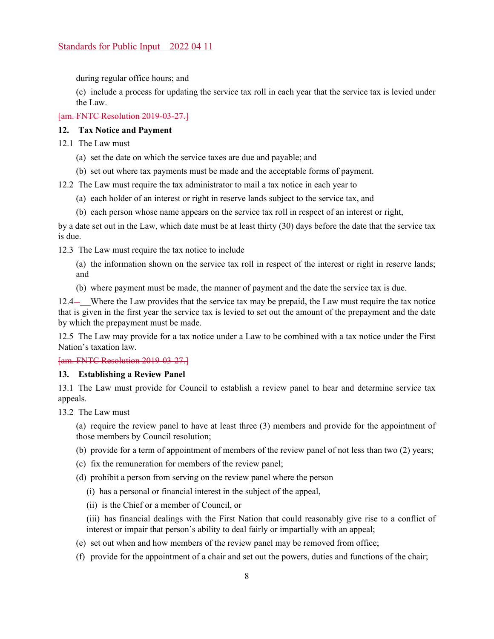during regular office hours; and

(c) include a process for updating the service tax roll in each year that the service tax is levied under the Law.

[am. FNTC Resolution 2019-03-27.]

# **12. Tax Notice and Payment**

12.1 The Law must

- (a) set the date on which the service taxes are due and payable; and
- (b) set out where tax payments must be made and the acceptable forms of payment.

12.2 The Law must require the tax administrator to mail a tax notice in each year to

- (a) each holder of an interest or right in reserve lands subject to the service tax, and
- (b) each person whose name appears on the service tax roll in respect of an interest or right,

by a date set out in the Law, which date must be at least thirty (30) days before the date that the service tax is due.

12.3 The Law must require the tax notice to include

- (a) the information shown on the service tax roll in respect of the interest or right in reserve lands; and
- (b) where payment must be made, the manner of payment and the date the service tax is due.

12.4 Where the Law provides that the service tax may be prepaid, the Law must require the tax notice that is given in the first year the service tax is levied to set out the amount of the prepayment and the date by which the prepayment must be made.

12.5 The Law may provide for a tax notice under a Law to be combined with a tax notice under the First Nation's taxation law.

[am. FNTC Resolution 2019-03-27.]

#### **13. Establishing a Review Panel**

13.1 The Law must provide for Council to establish a review panel to hear and determine service tax appeals.

13.2 The Law must

(a) require the review panel to have at least three (3) members and provide for the appointment of those members by Council resolution;

- (b) provide for a term of appointment of members of the review panel of not less than two (2) years;
- (c) fix the remuneration for members of the review panel;

(d) prohibit a person from serving on the review panel where the person

- (i) has a personal or financial interest in the subject of the appeal,
- (ii) is the Chief or a member of Council, or

(iii) has financial dealings with the First Nation that could reasonably give rise to a conflict of interest or impair that person's ability to deal fairly or impartially with an appeal;

- (e) set out when and how members of the review panel may be removed from office;
- (f) provide for the appointment of a chair and set out the powers, duties and functions of the chair;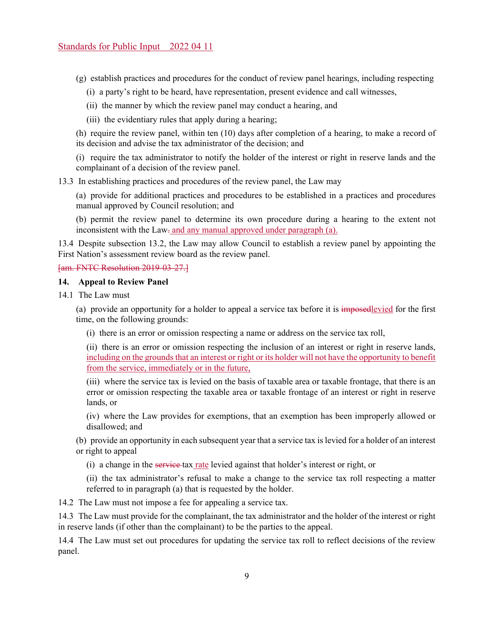(g) establish practices and procedures for the conduct of review panel hearings, including respecting

- (i) a party's right to be heard, have representation, present evidence and call witnesses,
- (ii) the manner by which the review panel may conduct a hearing, and
- (iii) the evidentiary rules that apply during a hearing;

(h) require the review panel, within ten (10) days after completion of a hearing, to make a record of its decision and advise the tax administrator of the decision; and

(i) require the tax administrator to notify the holder of the interest or right in reserve lands and the complainant of a decision of the review panel.

13.3 In establishing practices and procedures of the review panel, the Law may

(a) provide for additional practices and procedures to be established in a practices and procedures manual approved by Council resolution; and

(b) permit the review panel to determine its own procedure during a hearing to the extent not inconsistent with the Law- and any manual approved under paragraph (a).

13.4 Despite subsection 13.2, the Law may allow Council to establish a review panel by appointing the First Nation's assessment review board as the review panel.

[am. FNTC Resolution 2019-03-27.]

# **14. Appeal to Review Panel**

14.1 The Law must

(a) provide an opportunity for a holder to appeal a service tax before it is imposedlevied for the first time, on the following grounds:

(i) there is an error or omission respecting a name or address on the service tax roll,

(ii) there is an error or omission respecting the inclusion of an interest or right in reserve lands, including on the grounds that an interest or right or its holder will not have the opportunity to benefit from the service, immediately or in the future,

(iii) where the service tax is levied on the basis of taxable area or taxable frontage, that there is an error or omission respecting the taxable area or taxable frontage of an interest or right in reserve lands, or

(iv) where the Law provides for exemptions, that an exemption has been improperly allowed or disallowed; and

(b) provide an opportunity in each subsequent year that a service tax is levied for a holder of an interest or right to appeal

(i) a change in the service tax rate levied against that holder's interest or right, or

(ii) the tax administrator's refusal to make a change to the service tax roll respecting a matter referred to in paragraph (a) that is requested by the holder.

14.2 The Law must not impose a fee for appealing a service tax.

14.3 The Law must provide for the complainant, the tax administrator and the holder of the interest or right in reserve lands (if other than the complainant) to be the parties to the appeal.

14.4 The Law must set out procedures for updating the service tax roll to reflect decisions of the review panel.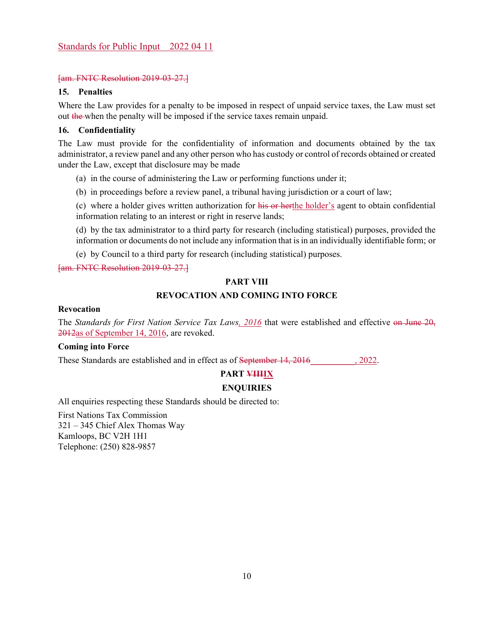#### [am. FNTC Resolution 2019-03-27.]

# **15. Penalties**

Where the Law provides for a penalty to be imposed in respect of unpaid service taxes, the Law must set out the when the penalty will be imposed if the service taxes remain unpaid.

#### **16. Confidentiality**

The Law must provide for the confidentiality of information and documents obtained by the tax administrator, a review panel and any other person who has custody or control of records obtained or created under the Law, except that disclosure may be made

- (a) in the course of administering the Law or performing functions under it;
- (b) in proceedings before a review panel, a tribunal having jurisdiction or a court of law;

(c) where a holder gives written authorization for his or herthe holder's agent to obtain confidential information relating to an interest or right in reserve lands;

(d) by the tax administrator to a third party for research (including statistical) purposes, provided the information or documents do not include any information that is in an individually identifiable form; or

(e) by Council to a third party for research (including statistical) purposes.

[am. FNTC Resolution 2019-03-27.]

# **PART VIII**

# **REVOCATION AND COMING INTO FORCE**

#### **Revocation**

The *Standards for First Nation Service Tax Laws, 2016* that were established and effective on June 20, 2012as of September 14, 2016, are revoked.

# **Coming into Force**

These Standards are established and in effect as of <del>September 14, 2016</del> . 2022.

# **PART VIIIIX**

#### **ENQUIRIES**

All enquiries respecting these Standards should be directed to:

First Nations Tax Commission 321 – 345 Chief Alex Thomas Way Kamloops, BC V2H 1H1 Telephone: (250) 828-9857